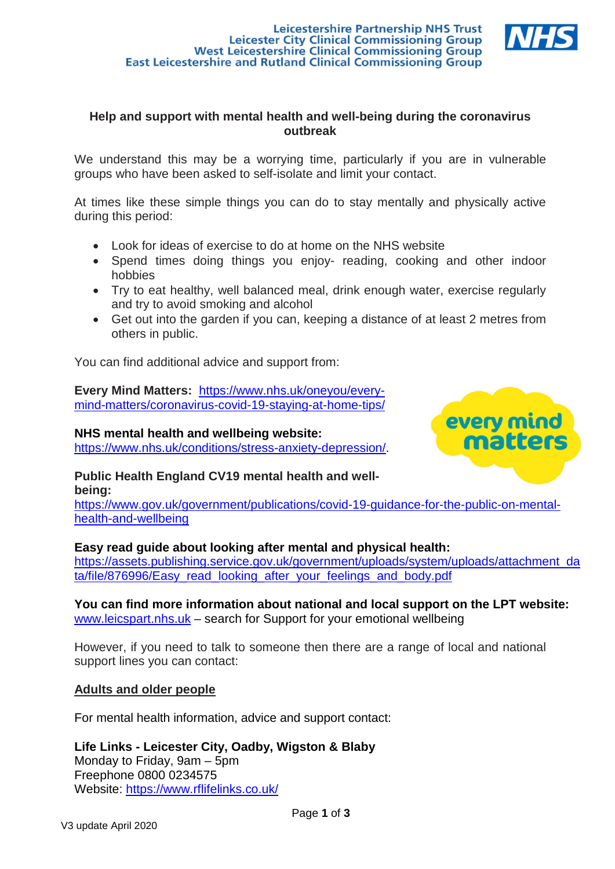# **Leicestershire Partnership NHS Trust** Leicester City Clinical Commissioning Group<br>West Leicestershire Clinical Commissioning Group **East Leicestershire and Rutland Clinical Commissioning Group**



# **Help and support with mental health and well-being during the coronavirus outbreak**

We understand this may be a worrying time, particularly if you are in vulnerable groups who have been asked to self-isolate and limit your contact.

At times like these simple things you can do to stay mentally and physically active during this period:

- Look for ideas of exercise to do at home on the NHS website
- Spend times doing things you enjoy- reading, cooking and other indoor hobbies
- Try to eat healthy, well balanced meal, drink enough water, exercise regularly and try to avoid smoking and alcohol
- Get out into the garden if you can, keeping a distance of at least 2 metres from others in public.

You can find additional advice and support from:

**Every Mind Matters:** [https://www.nhs.uk/oneyou/every](https://www.nhs.uk/oneyou/every-mind-matters/coronavirus-covid-19-staying-at-home-tips/)[mind-matters/coronavirus-covid-19-staying-at-home-tips/](https://www.nhs.uk/oneyou/every-mind-matters/coronavirus-covid-19-staying-at-home-tips/)

# **NHS mental health and wellbeing website:**

[https://www.nhs.uk/conditions/stress-anxiety-depression/.](https://www.nhs.uk/conditions/stress-anxiety-depression/)



### **Public Health England CV19 mental health and wellbeing:**

[https://www.gov.uk/government/publications/covid-19-guidance-for-the-public-on-mental](https://www.gov.uk/government/publications/covid-19-guidance-for-the-public-on-mental-health-and-wellbeing)[health-and-wellbeing](https://www.gov.uk/government/publications/covid-19-guidance-for-the-public-on-mental-health-and-wellbeing)

# **Easy read guide about looking after mental and physical health:**

[https://assets.publishing.service.gov.uk/government/uploads/system/uploads/attachment\\_da](https://assets.publishing.service.gov.uk/government/uploads/system/uploads/attachment_data/file/876996/Easy_read_looking_after_your_feelings_and_body.pdf) [ta/file/876996/Easy\\_read\\_looking\\_after\\_your\\_feelings\\_and\\_body.pdf](https://assets.publishing.service.gov.uk/government/uploads/system/uploads/attachment_data/file/876996/Easy_read_looking_after_your_feelings_and_body.pdf)

# **You can find more information about national and local support on the LPT website:**  [www.leicspart.nhs.uk](http://www.leicspart.nhs.uk/) – search for Support for your emotional wellbeing

However, if you need to talk to someone then there are a range of local and national support lines you can contact:

## **Adults and older people**

For mental health information, advice and support contact:

**Life Links - Leicester City, Oadby, Wigston & Blaby** Monday to Friday, 9am – 5pm Freephone 0800 0234575 Website:<https://www.rflifelinks.co.uk/>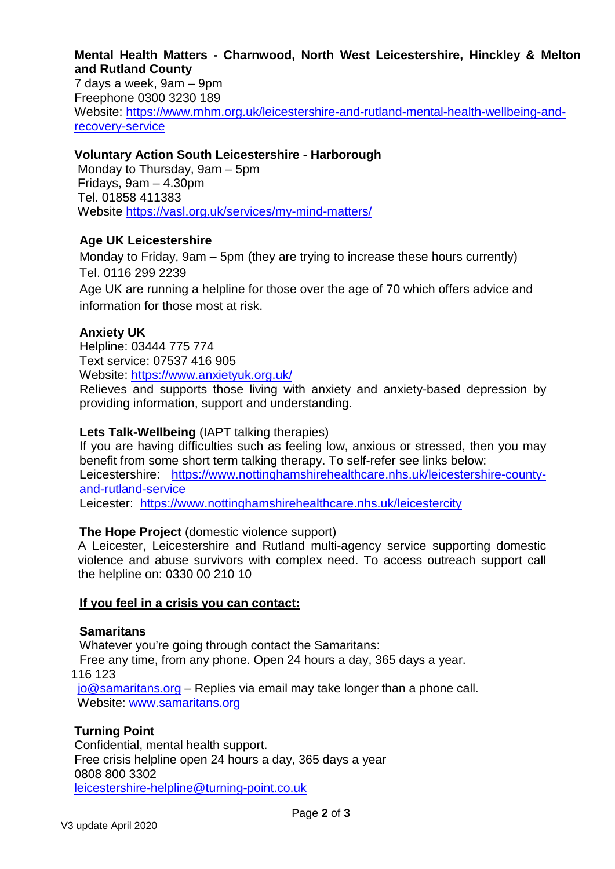### **Mental Health Matters - Charnwood, North West Leicestershire, Hinckley & Melton and Rutland County**

7 days a week, 9am – 9pm Freephone 0300 3230 189 Website: [https://www.mhm.org.uk/leicestershire-and-rutland-mental-health-wellbeing-and](https://www.mhm.org.uk/leicestershire-and-rutland-mental-health-wellbeing-and-recovery-service)[recovery-service](https://www.mhm.org.uk/leicestershire-and-rutland-mental-health-wellbeing-and-recovery-service)

## **Voluntary Action South Leicestershire - Harborough**

Monday to Thursday, 9am – 5pm Fridays, 9am – 4.30pm Tel. 01858 411383 Website<https://vasl.org.uk/services/my-mind-matters/>

## **Age UK Leicestershire**

Monday to Friday, 9am – 5pm (they are trying to increase these hours currently) Tel. 0116 299 2239

Age UK are running a helpline for those over the age of 70 which offers advice and information for those most at risk.

## **Anxiety UK**

Helpline: 03444 775 774 Text service: 07537 416 905 Website:<https://www.anxietyuk.org.uk/>

Relieves and supports those living with anxiety and anxiety-based depression by providing information, support and understanding.

## **Lets Talk-Wellbeing** (IAPT talking therapies)

If you are having difficulties such as feeling low, anxious or stressed, then you may benefit from some short term talking therapy. To self-refer see links below: Leicestershire: [https://www.nottinghamshirehealthcare.nhs.uk/leicestershire-county](https://www.nottinghamshirehealthcare.nhs.uk/leicestershire-county-and-rutland-service)[and-rutland-service](https://www.nottinghamshirehealthcare.nhs.uk/leicestershire-county-and-rutland-service)

Leicester: <https://www.nottinghamshirehealthcare.nhs.uk/leicestercity>

## **The Hope Project** (domestic violence support)

A Leicester, Leicestershire and Rutland multi-agency service supporting domestic violence and abuse survivors with complex need. To access outreach support call the helpline on: 0330 00 210 10

#### **If you feel in a crisis you can contact:**

#### **Samaritans**

Whatever you're going through contact the Samaritans:

Free any time, from any phone. Open 24 hours a day, 365 days a year.

116 123

[jo@samaritans.org](mailto:jo@samaritans.org) – Replies via email may take longer than a phone call. Website: [www.samaritans.org](http://www.samaritans.org/)

#### **Turning Point**

Confidential, mental health support. Free crisis helpline open 24 hours a day, 365 days a year 0808 800 3302 [leicestershire-helpline@turning-point.co.uk](mailto:leicestershire-helpline@turning-point.co.uk)